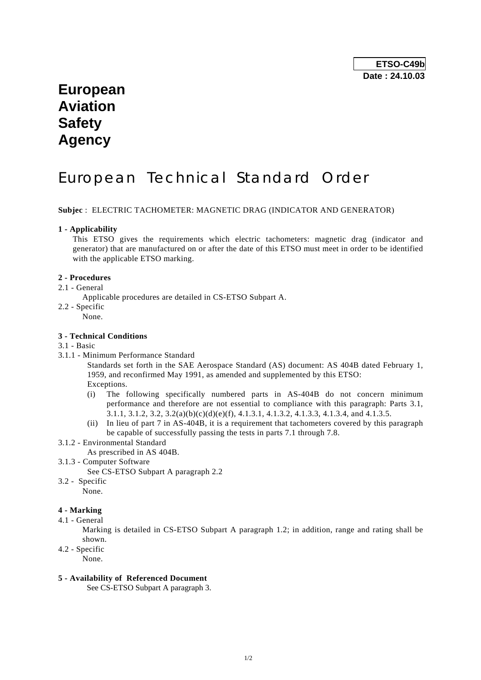## **European Aviation Safety Agency**

# European Technical Standard Order

**Subjec** : ELECTRIC TACHOMETER: MAGNETIC DRAG (INDICATOR AND GENERATOR)

#### **1 - Applicability**

 This ETSO gives the requirements which electric tachometers: magnetic drag (indicator and generator) that are manufactured on or after the date of this ETSO must meet in order to be identified with the applicable ETSO marking.

### **2 - Procedures**

- 2.1 General
	- Applicable procedures are detailed in CS-ETSO Subpart A.
- 2.2 Specific
	- .<br>None.

#### **3 - Technical Conditions**

- 3.1 Basic
- 3.1.1 Minimum Performance Standard

 Standards set forth in the SAE Aerospace Standard (AS) document: AS 404B dated February 1, 1959, and reconfirmed May 1991, as amended and supplemented by this ETSO: Exceptions.

- (i) The following specifically numbered parts in AS-404B do not concern minimum performance and therefore are not essential to compliance with this paragraph: Parts 3.1, 3.1.1, 3.1.2, 3.2, 3.2(a)(b)(c)(d)(e)(f), 4.1.3.1, 4.1.3.2, 4.1.3.3, 4.1.3.4, and 4.1.3.5.
- (ii) In lieu of part 7 in AS-404B, it is a requirement that tachometers covered by this paragraph be capable of successfully passing the tests in parts 7.1 through 7.8.
- 3.1.2 Environmental Standard
	- As prescribed in AS 404B.
- 3.1.3 Computer Software

See CS-ETSO Subpart A paragraph 2.2

- 3.2 Specific
- None.

### **4 - Marking**

4.1 - General

 Marking is detailed in CS-ETSO Subpart A paragraph 1.2; in addition, range and rating shall be shown.

4.2 - Specific

None.

#### **5 - Availability of Referenced Document**

See CS-ETSO Subpart A paragraph 3.